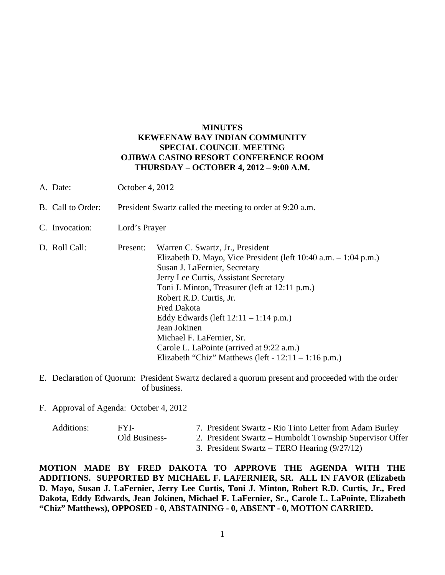#### **MINUTES KEWEENAW BAY INDIAN COMMUNITY SPECIAL COUNCIL MEETING OJIBWA CASINO RESORT CONFERENCE ROOM THURSDAY – OCTOBER 4, 2012 – 9:00 A.M.**

- A. Date: October 4, 2012
- B. Call to Order: President Swartz called the meeting to order at 9:20 a.m.
- C. Invocation: Lord's Prayer
- D. Roll Call: Present: Warren C. Swartz, Jr., President Elizabeth D. Mayo, Vice President (left 10:40 a.m. – 1:04 p.m.) Susan J. LaFernier, Secretary Jerry Lee Curtis, Assistant Secretary Toni J. Minton, Treasurer (left at 12:11 p.m.) Robert R.D. Curtis, Jr. Fred Dakota Eddy Edwards (left 12:11 – 1:14 p.m.) Jean Jokinen Michael F. LaFernier, Sr. Carole L. LaPointe (arrived at 9:22 a.m.) Elizabeth "Chiz" Matthews (left -  $12:11 - 1:16$  p.m.)
- E. Declaration of Quorum: President Swartz declared a quorum present and proceeded with the order of business.
- F. Approval of Agenda: October 4, 2012

| Additions: | FYI-          | 7. President Swartz - Rio Tinto Letter from Adam Burley  |
|------------|---------------|----------------------------------------------------------|
|            | Old Business- | 2. President Swartz – Humboldt Township Supervisor Offer |

- 
- 3. President Swartz TERO Hearing (9/27/12)

**MOTION MADE BY FRED DAKOTA TO APPROVE THE AGENDA WITH THE ADDITIONS. SUPPORTED BY MICHAEL F. LAFERNIER, SR. ALL IN FAVOR (Elizabeth D. Mayo, Susan J. LaFernier, Jerry Lee Curtis, Toni J. Minton, Robert R.D. Curtis, Jr., Fred Dakota, Eddy Edwards, Jean Jokinen, Michael F. LaFernier, Sr., Carole L. LaPointe, Elizabeth "Chiz" Matthews), OPPOSED - 0, ABSTAINING - 0, ABSENT - 0, MOTION CARRIED.**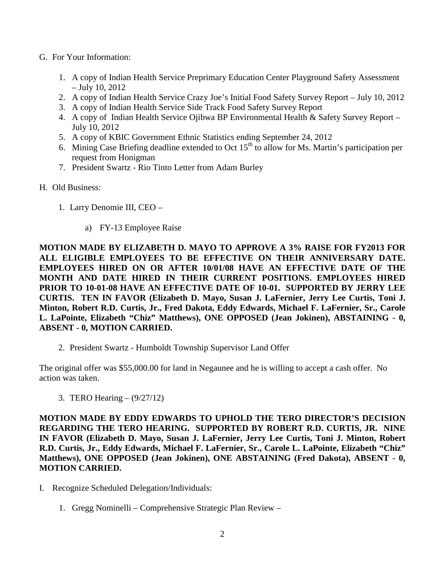- G. For Your Information:
	- 1. A copy of Indian Health Service Preprimary Education Center Playground Safety Assessment – July 10, 2012
	- 2. A copy of Indian Health Service Crazy Joe's Initial Food Safety Survey Report July 10, 2012
	- 3. A copy of Indian Health Service Side Track Food Safety Survey Report
	- 4. A copy of Indian Health Service Ojibwa BP Environmental Health & Safety Survey Report July 10, 2012
	- 5. A copy of KBIC Government Ethnic Statistics ending September 24, 2012
	- 6. Mining Case Briefing deadline extended to Oct  $15<sup>th</sup>$  to allow for Ms. Martin's participation per request from Honigman
	- 7. President Swartz Rio Tinto Letter from Adam Burley
- H. Old Business:
	- 1. Larry Denomie III, CEO
		- a) FY-13 Employee Raise

**MOTION MADE BY ELIZABETH D. MAYO TO APPROVE A 3% RAISE FOR FY2013 FOR ALL ELIGIBLE EMPLOYEES TO BE EFFECTIVE ON THEIR ANNIVERSARY DATE. EMPLOYEES HIRED ON OR AFTER 10/01/08 HAVE AN EFFECTIVE DATE OF THE MONTH AND DATE HIRED IN THEIR CURRENT POSITIONS. EMPLOYEES HIRED PRIOR TO 10-01-08 HAVE AN EFFECTIVE DATE OF 10-01. SUPPORTED BY JERRY LEE CURTIS. TEN IN FAVOR (Elizabeth D. Mayo, Susan J. LaFernier, Jerry Lee Curtis, Toni J. Minton, Robert R.D. Curtis, Jr., Fred Dakota, Eddy Edwards, Michael F. LaFernier, Sr., Carole L. LaPointe, Elizabeth "Chiz" Matthews), ONE OPPOSED (Jean Jokinen), ABSTAINING - 0, ABSENT - 0, MOTION CARRIED.**

2. President Swartz - Humboldt Township Supervisor Land Offer

The original offer was \$55,000.00 for land in Negaunee and he is willing to accept a cash offer. No action was taken.

3. TERO Hearing – (9/27/12)

**MOTION MADE BY EDDY EDWARDS TO UPHOLD THE TERO DIRECTOR'S DECISION REGARDING THE TERO HEARING. SUPPORTED BY ROBERT R.D. CURTIS, JR. NINE IN FAVOR (Elizabeth D. Mayo, Susan J. LaFernier, Jerry Lee Curtis, Toni J. Minton, Robert R.D. Curtis, Jr., Eddy Edwards, Michael F. LaFernier, Sr., Carole L. LaPointe, Elizabeth "Chiz" Matthews), ONE OPPOSED (Jean Jokinen), ONE ABSTAINING (Fred Dakota), ABSENT - 0, MOTION CARRIED.**

- I. Recognize Scheduled Delegation/Individuals:
	- 1. Gregg Nominelli Comprehensive Strategic Plan Review –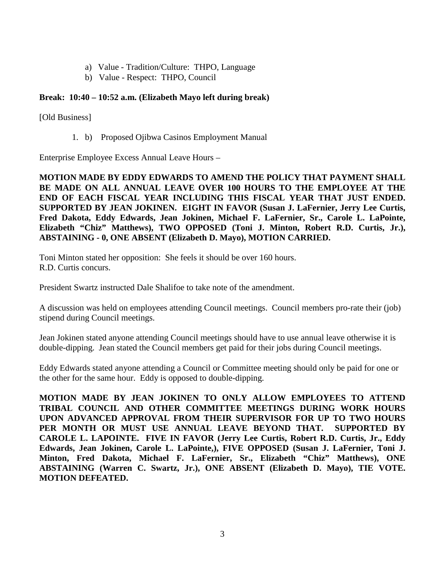- a) Value Tradition/Culture: THPO, Language
- b) Value Respect: THPO, Council

# **Break: 10:40 – 10:52 a.m. (Elizabeth Mayo left during break)**

[Old Business]

1. b) Proposed Ojibwa Casinos Employment Manual

Enterprise Employee Excess Annual Leave Hours –

**MOTION MADE BY EDDY EDWARDS TO AMEND THE POLICY THAT PAYMENT SHALL BE MADE ON ALL ANNUAL LEAVE OVER 100 HOURS TO THE EMPLOYEE AT THE END OF EACH FISCAL YEAR INCLUDING THIS FISCAL YEAR THAT JUST ENDED. SUPPORTED BY JEAN JOKINEN. EIGHT IN FAVOR (Susan J. LaFernier, Jerry Lee Curtis, Fred Dakota, Eddy Edwards, Jean Jokinen, Michael F. LaFernier, Sr., Carole L. LaPointe, Elizabeth "Chiz" Matthews), TWO OPPOSED (Toni J. Minton, Robert R.D. Curtis, Jr.), ABSTAINING - 0, ONE ABSENT (Elizabeth D. Mayo), MOTION CARRIED.**

Toni Minton stated her opposition: She feels it should be over 160 hours. R.D. Curtis concurs.

President Swartz instructed Dale Shalifoe to take note of the amendment.

A discussion was held on employees attending Council meetings. Council members pro-rate their (job) stipend during Council meetings.

Jean Jokinen stated anyone attending Council meetings should have to use annual leave otherwise it is double-dipping. Jean stated the Council members get paid for their jobs during Council meetings.

Eddy Edwards stated anyone attending a Council or Committee meeting should only be paid for one or the other for the same hour. Eddy is opposed to double-dipping.

**MOTION MADE BY JEAN JOKINEN TO ONLY ALLOW EMPLOYEES TO ATTEND TRIBAL COUNCIL AND OTHER COMMITTEE MEETINGS DURING WORK HOURS UPON ADVANCED APPROVAL FROM THEIR SUPERVISOR FOR UP TO TWO HOURS PER MONTH OR MUST USE ANNUAL LEAVE BEYOND THAT. SUPPORTED BY CAROLE L. LAPOINTE. FIVE IN FAVOR (Jerry Lee Curtis, Robert R.D. Curtis, Jr., Eddy Edwards, Jean Jokinen, Carole L. LaPointe,), FIVE OPPOSED (Susan J. LaFernier, Toni J. Minton, Fred Dakota, Michael F. LaFernier, Sr., Elizabeth "Chiz" Matthews), ONE ABSTAINING (Warren C. Swartz, Jr.), ONE ABSENT (Elizabeth D. Mayo), TIE VOTE. MOTION DEFEATED.**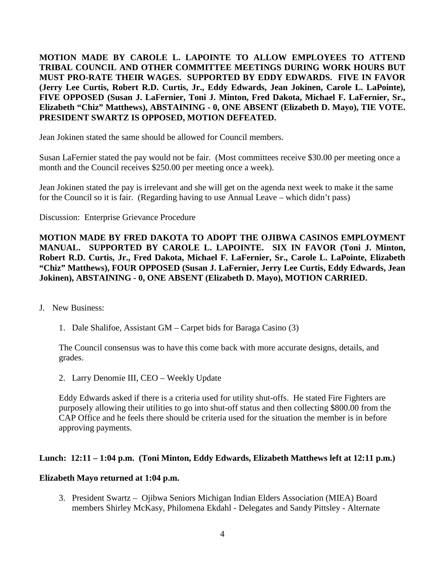**MOTION MADE BY CAROLE L. LAPOINTE TO ALLOW EMPLOYEES TO ATTEND TRIBAL COUNCIL AND OTHER COMMITTEE MEETINGS DURING WORK HOURS BUT MUST PRO-RATE THEIR WAGES. SUPPORTED BY EDDY EDWARDS. FIVE IN FAVOR (Jerry Lee Curtis, Robert R.D. Curtis, Jr., Eddy Edwards, Jean Jokinen, Carole L. LaPointe), FIVE OPPOSED (Susan J. LaFernier, Toni J. Minton, Fred Dakota, Michael F. LaFernier, Sr., Elizabeth "Chiz" Matthews), ABSTAINING - 0, ONE ABSENT (Elizabeth D. Mayo), TIE VOTE. PRESIDENT SWARTZ IS OPPOSED, MOTION DEFEATED.**

Jean Jokinen stated the same should be allowed for Council members.

Susan LaFernier stated the pay would not be fair. (Most committees receive \$30.00 per meeting once a month and the Council receives \$250.00 per meeting once a week).

Jean Jokinen stated the pay is irrelevant and she will get on the agenda next week to make it the same for the Council so it is fair. (Regarding having to use Annual Leave – which didn't pass)

Discussion: Enterprise Grievance Procedure

**MOTION MADE BY FRED DAKOTA TO ADOPT THE OJIBWA CASINOS EMPLOYMENT MANUAL. SUPPORTED BY CAROLE L. LAPOINTE. SIX IN FAVOR (Toni J. Minton, Robert R.D. Curtis, Jr., Fred Dakota, Michael F. LaFernier, Sr., Carole L. LaPointe, Elizabeth "Chiz" Matthews), FOUR OPPOSED (Susan J. LaFernier, Jerry Lee Curtis, Eddy Edwards, Jean Jokinen), ABSTAINING - 0, ONE ABSENT (Elizabeth D. Mayo), MOTION CARRIED.**

- J. New Business:
	- 1. Dale Shalifoe, Assistant GM Carpet bids for Baraga Casino (3)

The Council consensus was to have this come back with more accurate designs, details, and grades.

2. Larry Denomie III, CEO – Weekly Update

Eddy Edwards asked if there is a criteria used for utility shut-offs. He stated Fire Fighters are purposely allowing their utilities to go into shut-off status and then collecting \$800.00 from the CAP Office and he feels there should be criteria used for the situation the member is in before approving payments.

# **Lunch: 12:11 – 1:04 p.m. (Toni Minton, Eddy Edwards, Elizabeth Matthews left at 12:11 p.m.)**

#### **Elizabeth Mayo returned at 1:04 p.m.**

3. President Swartz – Ojibwa Seniors Michigan Indian Elders Association (MIEA) Board members Shirley McKasy, Philomena Ekdahl - Delegates and Sandy Pittsley - Alternate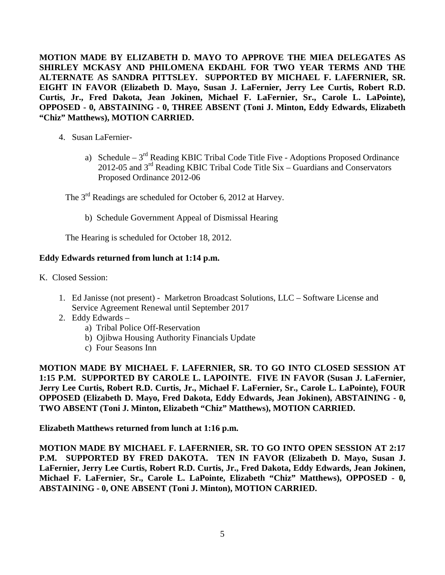**MOTION MADE BY ELIZABETH D. MAYO TO APPROVE THE MIEA DELEGATES AS SHIRLEY MCKASY AND PHILOMENA EKDAHL FOR TWO YEAR TERMS AND THE ALTERNATE AS SANDRA PITTSLEY. SUPPORTED BY MICHAEL F. LAFERNIER, SR. EIGHT IN FAVOR (Elizabeth D. Mayo, Susan J. LaFernier, Jerry Lee Curtis, Robert R.D. Curtis, Jr., Fred Dakota, Jean Jokinen, Michael F. LaFernier, Sr., Carole L. LaPointe), OPPOSED - 0, ABSTAINING - 0, THREE ABSENT (Toni J. Minton, Eddy Edwards, Elizabeth "Chiz" Matthews), MOTION CARRIED.**

- 4. Susan LaFernier
	- a) Schedule  $3<sup>rd</sup>$  Reading KBIC Tribal Code Title Five Adoptions Proposed Ordinance 2012-05 and  $3^{rd}$  Reading KBIC Tribal Code Title Six – Guardians and Conservators Proposed Ordinance 2012-06

The 3<sup>rd</sup> Readings are scheduled for October 6, 2012 at Harvey.

b) Schedule Government Appeal of Dismissal Hearing

The Hearing is scheduled for October 18, 2012.

### **Eddy Edwards returned from lunch at 1:14 p.m.**

K. Closed Session:

- 1. Ed Janisse (not present) Marketron Broadcast Solutions, LLC Software License and Service Agreement Renewal until September 2017
- 2. Eddy Edwards
	- a) Tribal Police Off-Reservation
	- b) Ojibwa Housing Authority Financials Update
	- c) Four Seasons Inn

**MOTION MADE BY MICHAEL F. LAFERNIER, SR. TO GO INTO CLOSED SESSION AT 1:15 P.M. SUPPORTED BY CAROLE L. LAPOINTE. FIVE IN FAVOR (Susan J. LaFernier, Jerry Lee Curtis, Robert R.D. Curtis, Jr., Michael F. LaFernier, Sr., Carole L. LaPointe), FOUR OPPOSED (Elizabeth D. Mayo, Fred Dakota, Eddy Edwards, Jean Jokinen), ABSTAINING - 0, TWO ABSENT (Toni J. Minton, Elizabeth "Chiz" Matthews), MOTION CARRIED.**

**Elizabeth Matthews returned from lunch at 1:16 p.m.**

**MOTION MADE BY MICHAEL F. LAFERNIER, SR. TO GO INTO OPEN SESSION AT 2:17 P.M. SUPPORTED BY FRED DAKOTA. TEN IN FAVOR (Elizabeth D. Mayo, Susan J. LaFernier, Jerry Lee Curtis, Robert R.D. Curtis, Jr., Fred Dakota, Eddy Edwards, Jean Jokinen, Michael F. LaFernier, Sr., Carole L. LaPointe, Elizabeth "Chiz" Matthews), OPPOSED - 0, ABSTAINING - 0, ONE ABSENT (Toni J. Minton), MOTION CARRIED.**